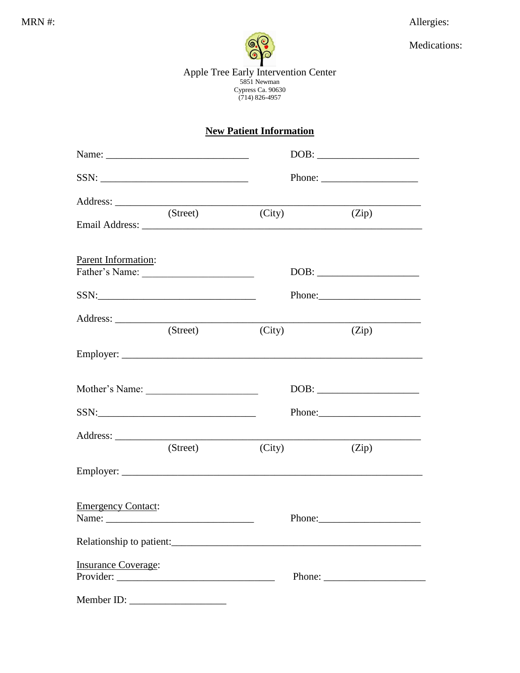Allergies:



Medications:

Apple Tree Early Intervention Center<br>5851 Newman<br>Cypress Ca. 90630<br>(714) 826-4957

## **New Patient Information**

| SSN:                       |        |                                                                                                                                                                                                                                                                                                                                                                                                                                      |
|----------------------------|--------|--------------------------------------------------------------------------------------------------------------------------------------------------------------------------------------------------------------------------------------------------------------------------------------------------------------------------------------------------------------------------------------------------------------------------------------|
|                            |        |                                                                                                                                                                                                                                                                                                                                                                                                                                      |
| (Street)                   | (City) | (Zip)                                                                                                                                                                                                                                                                                                                                                                                                                                |
| Parent Information:        |        |                                                                                                                                                                                                                                                                                                                                                                                                                                      |
|                            |        | $DOB: \begin{tabular}{ c c c } \hline \multicolumn{3}{ c }{\textbf{DOB}}: & \multicolumn{3}{ c }{\textbf{O}}: & \multicolumn{3}{ c }{\textbf{OOB}}: \\ \hline \multicolumn{3}{ c }{\textbf{DOB}}: & \multicolumn{3}{ c }{\textbf{O}}: & \multicolumn{3}{ c }{\textbf{O}}: & \multicolumn{3}{ c }{\textbf{OOB}}: & \multicolumn{3}{ c }{\textbf{OOB}}: & \multicolumn{3}{ c }{\textbf{OOB}}: & \multicolumn{3}{ c }{\textbf{OOB}}: &$ |
|                            |        |                                                                                                                                                                                                                                                                                                                                                                                                                                      |
|                            |        |                                                                                                                                                                                                                                                                                                                                                                                                                                      |
| (Street)                   | (City) | (Zip)                                                                                                                                                                                                                                                                                                                                                                                                                                |
|                            |        |                                                                                                                                                                                                                                                                                                                                                                                                                                      |
|                            |        |                                                                                                                                                                                                                                                                                                                                                                                                                                      |
|                            |        |                                                                                                                                                                                                                                                                                                                                                                                                                                      |
|                            |        |                                                                                                                                                                                                                                                                                                                                                                                                                                      |
| (Street)                   | (City) | (Zip)                                                                                                                                                                                                                                                                                                                                                                                                                                |
|                            |        |                                                                                                                                                                                                                                                                                                                                                                                                                                      |
| <b>Emergency Contact:</b>  |        |                                                                                                                                                                                                                                                                                                                                                                                                                                      |
|                            |        |                                                                                                                                                                                                                                                                                                                                                                                                                                      |
|                            |        |                                                                                                                                                                                                                                                                                                                                                                                                                                      |
| <b>Insurance Coverage:</b> |        |                                                                                                                                                                                                                                                                                                                                                                                                                                      |
| Provider:                  |        | Phone: $\frac{1}{\sqrt{1-\frac{1}{2}}}\left\{ \frac{1}{2} + \frac{1}{2} + \frac{1}{2} + \frac{1}{2} + \frac{1}{2} + \frac{1}{2} + \frac{1}{2} + \frac{1}{2} + \frac{1}{2} + \frac{1}{2} + \frac{1}{2} + \frac{1}{2} + \frac{1}{2} + \frac{1}{2} + \frac{1}{2} + \frac{1}{2} + \frac{1}{2} + \frac{1}{2} + \frac{1}{2} + \frac{1}{2} + \frac{1}{2} + \frac{1}{2} + \frac{1}{2} + \frac{1}{2} + \$                                     |
| Member ID:                 |        |                                                                                                                                                                                                                                                                                                                                                                                                                                      |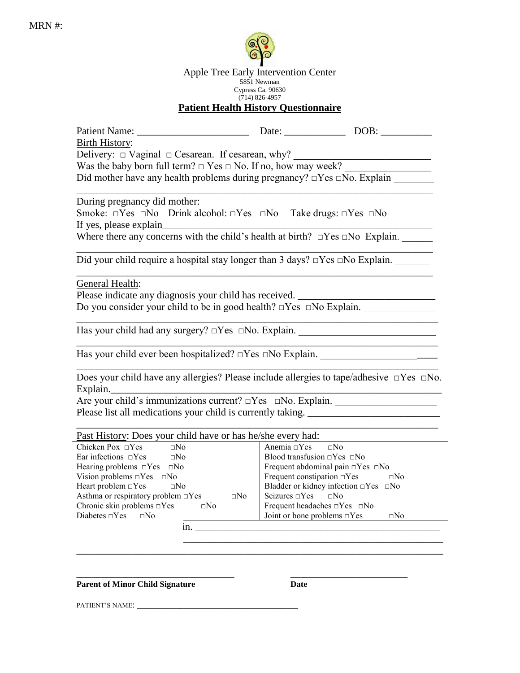

Apple Tree Early Intervention Center 5851 Newman Cypress Ca. 90630 (714) 826-4957 **Patient Health History Questionnaire**

| Patient Name: Name and Solution of the Contract of the Contract of the Contract of the Contract of the Contract of the Contract of the Contract of the Contract of the Contract of the Contract of the Contract of the Contrac | Date: DOB:                                       |                                                                                                                       |  |  |
|--------------------------------------------------------------------------------------------------------------------------------------------------------------------------------------------------------------------------------|--------------------------------------------------|-----------------------------------------------------------------------------------------------------------------------|--|--|
| <b>Birth History:</b>                                                                                                                                                                                                          |                                                  |                                                                                                                       |  |  |
| Delivery: $\Box$ Vaginal $\Box$ Cesarean. If cesarean, why?                                                                                                                                                                    |                                                  |                                                                                                                       |  |  |
| Was the baby born full term? $\Box$ Yes $\Box$ No. If no, how may week?                                                                                                                                                        |                                                  |                                                                                                                       |  |  |
|                                                                                                                                                                                                                                |                                                  |                                                                                                                       |  |  |
| Did mother have any health problems during pregnancy? $\Box$ Yes $\Box$ No. Explain                                                                                                                                            |                                                  |                                                                                                                       |  |  |
| During pregnancy did mother:                                                                                                                                                                                                   |                                                  |                                                                                                                       |  |  |
|                                                                                                                                                                                                                                |                                                  |                                                                                                                       |  |  |
| Smoke: $\Box Yes \Box No \quad Drink \text{ alcohol: } \Box Yes \quad \Box No \quad Take \text{ drugs: } \Box Yes \quad \Box No$                                                                                               |                                                  |                                                                                                                       |  |  |
| If yes, please explain                                                                                                                                                                                                         |                                                  |                                                                                                                       |  |  |
| Where there any concerns with the child's health at birth? $\Box$ Yes $\Box$ No Explain.                                                                                                                                       |                                                  |                                                                                                                       |  |  |
|                                                                                                                                                                                                                                |                                                  |                                                                                                                       |  |  |
| Did your child require a hospital stay longer than $3 \text{ days? } \square \text{Yes } \square \text{No Explain.}$                                                                                                           |                                                  |                                                                                                                       |  |  |
| General Health:                                                                                                                                                                                                                |                                                  |                                                                                                                       |  |  |
| Please indicate any diagnosis your child has received. __________________________                                                                                                                                              |                                                  |                                                                                                                       |  |  |
| Do you consider your child to be in good health? □Yes □No Explain.                                                                                                                                                             |                                                  |                                                                                                                       |  |  |
|                                                                                                                                                                                                                                |                                                  |                                                                                                                       |  |  |
| Has your child had any surgery? $\Box$ Yes $\Box$ No. Explain.                                                                                                                                                                 |                                                  |                                                                                                                       |  |  |
|                                                                                                                                                                                                                                |                                                  | <u> 1989 - Johann Barn, mars ann an t-Amhair ann an t-Amhair an t-Amhair ann an t-Amhair an t-Amhair ann an t-Amh</u> |  |  |
| Has your child ever been hospitalized? DYes DNo Explain. ________________________                                                                                                                                              |                                                  |                                                                                                                       |  |  |
|                                                                                                                                                                                                                                |                                                  |                                                                                                                       |  |  |
| Does your child have any allergies? Please include allergies to tape/adhesive $\Box$ Yes $\Box$ No.                                                                                                                            |                                                  |                                                                                                                       |  |  |
| Explain.                                                                                                                                                                                                                       |                                                  |                                                                                                                       |  |  |
|                                                                                                                                                                                                                                |                                                  |                                                                                                                       |  |  |
| Please list all medications your child is currently taking.                                                                                                                                                                    |                                                  |                                                                                                                       |  |  |
|                                                                                                                                                                                                                                |                                                  |                                                                                                                       |  |  |
| Past History: Does your child have or has he/she every had:                                                                                                                                                                    |                                                  |                                                                                                                       |  |  |
| Chicken Pox $\Box$ Yes<br>$\Box$ No<br>Anemia $\Box$ Yes<br>$\Box$ No                                                                                                                                                          |                                                  |                                                                                                                       |  |  |
| Ear infections $\Box$ Yes $\Box$ No                                                                                                                                                                                            | Blood transfusion $\Box$ Yes $\Box$ No           |                                                                                                                       |  |  |
| Hearing problems $\Box Yes \quad \Box No$                                                                                                                                                                                      | Frequent abdominal pain $\Box$ Yes $\Box$ No     |                                                                                                                       |  |  |
| Vision problems $\Box$ Yes $\Box$ No                                                                                                                                                                                           | Frequent constipation $\Box$ Yes                 | $\Box$ No                                                                                                             |  |  |
| Heart problem $\square$ Yes<br>$\square$ No                                                                                                                                                                                    | Bladder or kidney infection $\Box$ Yes $\Box$ No |                                                                                                                       |  |  |
| Asthma or respiratory problem $\Box$ Yes<br>$\Box$ No                                                                                                                                                                          | Seizures $\Box$ Yes<br>$\Box$ No                 |                                                                                                                       |  |  |
| Chronic skin problems $\Box$ Yes $\Box$ No                                                                                                                                                                                     | Frequent headaches $\Box$ Yes $\Box$ No          |                                                                                                                       |  |  |
| Diabetes $\Box$ Yes<br>$\square$ No                                                                                                                                                                                            | Joint or bone problems $\Box$ Yes                | $\square$ No                                                                                                          |  |  |
| In.                                                                                                                                                                                                                            |                                                  |                                                                                                                       |  |  |

 $\overline{\phantom{a}}$  ,  $\overline{\phantom{a}}$  ,  $\overline{\phantom{a}}$  ,  $\overline{\phantom{a}}$  ,  $\overline{\phantom{a}}$  ,  $\overline{\phantom{a}}$  ,  $\overline{\phantom{a}}$  ,  $\overline{\phantom{a}}$  ,  $\overline{\phantom{a}}$  ,  $\overline{\phantom{a}}$  ,  $\overline{\phantom{a}}$  ,  $\overline{\phantom{a}}$  ,  $\overline{\phantom{a}}$  ,  $\overline{\phantom{a}}$  ,  $\overline{\phantom{a}}$  ,  $\overline{\phantom{a}}$ \_\_\_\_\_\_\_\_\_\_\_\_\_\_\_\_\_\_\_\_\_\_\_\_\_\_\_\_\_\_\_\_\_\_\_\_\_\_\_\_\_\_\_\_\_\_\_\_\_\_\_\_\_\_\_\_\_\_\_\_\_\_\_\_\_\_\_\_\_\_\_\_

\_\_\_\_\_\_\_\_\_\_\_\_\_\_\_\_\_\_\_\_\_\_\_\_\_\_\_\_\_\_\_ \_\_\_\_\_\_\_\_\_\_\_\_\_\_\_\_\_\_\_\_\_\_\_

**Parent of Minor Child Signature Date** 

PATIENT'S NAME: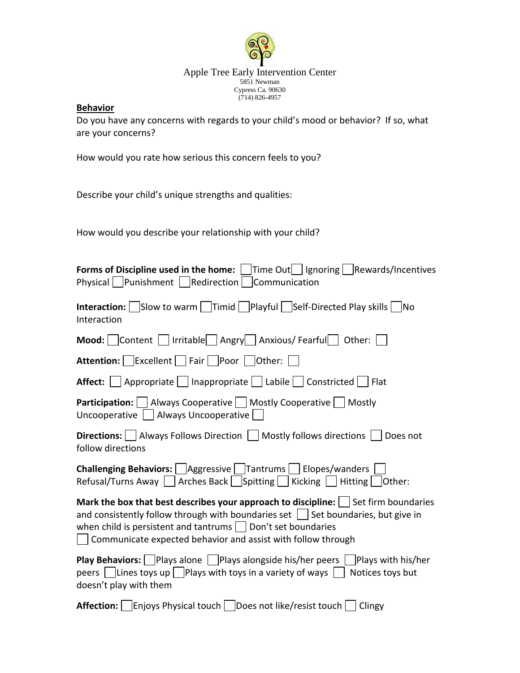

Apple Tree Early Intervention Center 5851 Newman Cypress Ca. 90630 (714) 826-4957

## **Behavior**

Do you have any concerns with regards to your child's mood or behavior? If so, what are your concerns?

How would you rate how serious this concern feels to you?

Describe your child's unique strengths and qualities:

How would you describe your relationship with your child?

| Forms of Discipline used in the home: Time Out<br>Time Out<br>Ignoring   Rewards/Incentives<br>Physical     Punishment     Redirection  <br>Communication                                                                                                                                                                                        |
|--------------------------------------------------------------------------------------------------------------------------------------------------------------------------------------------------------------------------------------------------------------------------------------------------------------------------------------------------|
| <b>Interaction:</b>   Slow to warm   $ \text{Timid} $   Playful   Self-Directed Play skills   No<br>Interaction                                                                                                                                                                                                                                  |
| Mood: Content   Irritable   Angry   Anxious/ Fearful   Other:                                                                                                                                                                                                                                                                                    |
| <b>Attention:</b>   Excellent   Fair   Poor   Other:                                                                                                                                                                                                                                                                                             |
| Affect:   Appropriate   Inappropriate   Labile   Constricted   Flat                                                                                                                                                                                                                                                                              |
| <b>Participation:</b>   Always Cooperative   Mostly Cooperative   Mostly<br>Uncooperative     Always Uncooperative                                                                                                                                                                                                                               |
| <b>Directions:</b>     Always Follows Direction     Mostly follows directions    <br>Does not<br>follow directions                                                                                                                                                                                                                               |
| <b>Challenging Behaviors:</b> Aggressive Tantrums Elopes/wanders<br>Refusal/Turns Away Arches Back Spitting Ricking Hitting Other:                                                                                                                                                                                                               |
| Mark the box that best describes your approach to discipline: $\vert \ \vert$ Set firm boundaries<br>and consistently follow through with boundaries set $\Box$ Set boundaries, but give in<br>when child is persistent and tantrums $\vert$ $\vert$ Don't set boundaries<br>$\Box$ Communicate expected behavior and assist with follow through |
| <b>Play Behaviors:</b> Plays alone $\Box$ Plays alongside his/her peers $\Box$ Plays with his/her<br>peers $\vert$ Lines toys up $\vert$ Plays with toys in a variety of ways<br>Notices toys but<br>doesn't play with them                                                                                                                      |
| <b>Affection:</b>   Enjoys Physical touch  <br>Does not like/resist touch<br>Clingy                                                                                                                                                                                                                                                              |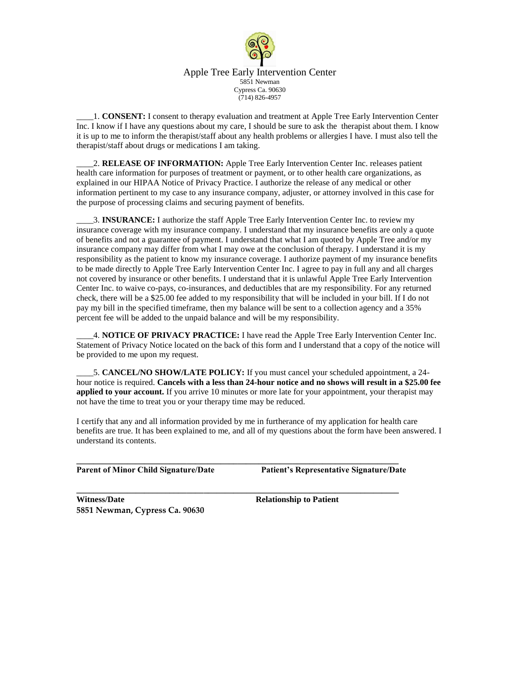

Apple Tree Early Intervention Center 5851 Newman Cypress Ca. 90630 (714) 826-4957

\_\_\_\_1. **CONSENT:** I consent to therapy evaluation and treatment at Apple Tree Early Intervention Center Inc. I know if I have any questions about my care, I should be sure to ask the therapist about them. I know it is up to me to inform the therapist/staff about any health problems or allergies I have. I must also tell the therapist/staff about drugs or medications I am taking.

\_\_\_\_2. **RELEASE OF INFORMATION:** Apple Tree Early Intervention Center Inc. releases patient health care information for purposes of treatment or payment, or to other health care organizations, as explained in our HIPAA Notice of Privacy Practice. I authorize the release of any medical or other information pertinent to my case to any insurance company, adjuster, or attorney involved in this case for the purpose of processing claims and securing payment of benefits.

\_\_\_\_3. **INSURANCE:** I authorize the staff Apple Tree Early Intervention Center Inc. to review my insurance coverage with my insurance company. I understand that my insurance benefits are only a quote of benefits and not a guarantee of payment. I understand that what I am quoted by Apple Tree and/or my insurance company may differ from what I may owe at the conclusion of therapy. I understand it is my responsibility as the patient to know my insurance coverage. I authorize payment of my insurance benefits to be made directly to Apple Tree Early Intervention Center Inc. I agree to pay in full any and all charges not covered by insurance or other benefits. I understand that it is unlawful Apple Tree Early Intervention Center Inc. to waive co-pays, co-insurances, and deductibles that are my responsibility. For any returned check, there will be a \$25.00 fee added to my responsibility that will be included in your bill. If I do not pay my bill in the specified timeframe, then my balance will be sent to a collection agency and a 35% percent fee will be added to the unpaid balance and will be my responsibility.

\_\_\_\_4. **NOTICE OF PRIVACY PRACTICE:** I have read the Apple Tree Early Intervention Center Inc. Statement of Privacy Notice located on the back of this form and I understand that a copy of the notice will be provided to me upon my request.

5. **CANCEL/NO SHOW/LATE POLICY:** If you must cancel your scheduled appointment, a 24hour notice is required. **Cancels with a less than 24-hour notice and no shows will result in a \$25.00 fee applied to your account.** If you arrive 10 minutes or more late for your appointment, your therapist may not have the time to treat you or your therapy time may be reduced.

I certify that any and all information provided by me in furtherance of my application for health care benefits are true. It has been explained to me, and all of my questions about the form have been answered. I understand its contents.

**\_\_\_\_\_\_\_\_\_\_\_\_\_\_\_\_\_\_\_\_\_\_\_\_\_\_\_\_\_\_\_\_\_\_\_\_\_\_\_\_\_\_\_\_\_\_\_\_\_\_\_\_\_\_\_\_\_\_\_\_\_\_\_\_\_\_\_\_\_\_\_\_\_\_\_\_**

**\_\_\_\_\_\_\_\_\_\_\_\_\_\_\_\_\_\_\_\_\_\_\_\_\_\_\_\_\_\_\_\_\_\_\_\_\_\_\_\_\_\_\_\_\_\_\_\_\_\_\_\_\_\_\_\_\_\_\_\_\_\_\_\_\_\_\_\_\_\_\_\_\_\_\_\_**

**Parent of Minor Child Signature/Date Patient's Representative Signature/Date**

Witness/Date **Relationship to Patient 5851 Newman, Cypress Ca. 90630**